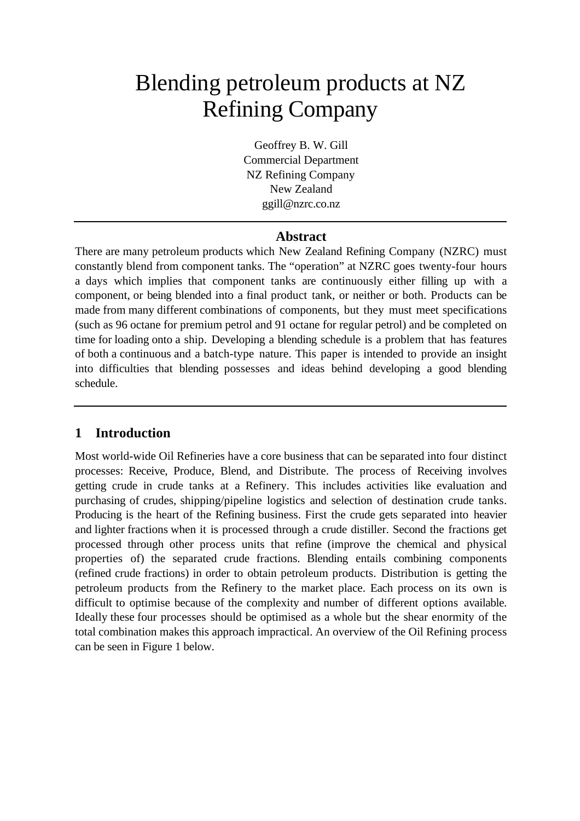# Blending petroleum products at NZ Refining Company

Geoffrey B. W. Gill Commercial Department NZ Refining Company New Zealand ggill@nzrc.co.nz

## **Abstract**

There are many petroleum products which New Zealand Refining Company (NZRC) must constantly blend from component tanks. The "operation" at NZRC goes twenty-four hours a days which implies that component tanks are continuously either filling up with a component, or being blended into a final product tank, or neither or both. Products can be made from many different combinations of components, but they must meet specifications (such as 96 octane for premium petrol and 91 octane for regular petrol) and be completed on time for loading onto a ship. Developing a blending schedule is a problem that has features of both a continuous and a batch-type nature. This paper is intended to provide an insight into difficulties that blending possesses and ideas behind developing a good blending schedule.

# **1 Introduction**

Most world-wide Oil Refineries have a core business that can be separated into four distinct processes: Receive, Produce, Blend, and Distribute. The process of Receiving involves getting crude in crude tanks at a Refinery. This includes activities like evaluation and purchasing of crudes, shipping/pipeline logistics and selection of destination crude tanks. Producing is the heart of the Refining business. First the crude gets separated into heavier and lighter fractions when it is processed through a crude distiller. Second the fractions get processed through other process units that refine (improve the chemical and physical properties of) the separated crude fractions. Blending entails combining components (refined crude fractions) in order to obtain petroleum products. Distribution is getting the petroleum products from the Refinery to the market place. Each process on its own is difficult to optimise because of the complexity and number of different options available. Ideally these four processes should be optimised as a whole but the shear enormity of the total combination makes this approach impractical. An overview of the Oil Refining process can be seen in Figure 1 below.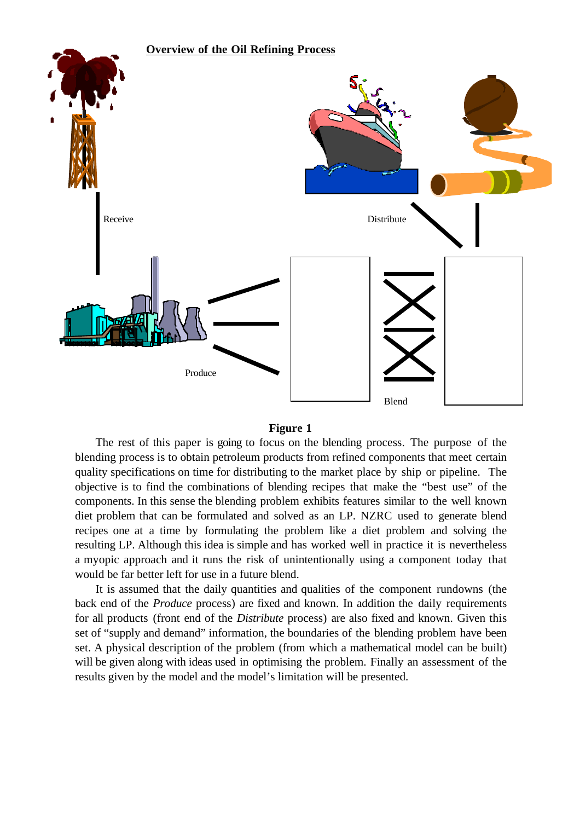



The rest of this paper is going to focus on the blending process. The purpose of the blending process is to obtain petroleum products from refined components that meet certain quality specifications on time for distributing to the market place by ship or pipeline. The objective is to find the combinations of blending recipes that make the "best use" of the components. In this sense the blending problem exhibits features similar to the well known diet problem that can be formulated and solved as an LP. NZRC used to generate blend recipes one at a time by formulating the problem like a diet problem and solving the resulting LP. Although this idea is simple and has worked well in practice it is nevertheless a myopic approach and it runs the risk of unintentionally using a component today that would be far better left for use in a future blend.

It is assumed that the daily quantities and qualities of the component rundowns (the back end of the *Produce* process) are fixed and known. In addition the daily requirements for all products (front end of the *Distribute* process) are also fixed and known. Given this set of "supply and demand" information, the boundaries of the blending problem have been set. A physical description of the problem (from which a mathematical model can be built) will be given along with ideas used in optimising the problem. Finally an assessment of the results given by the model and the model's limitation will be presented.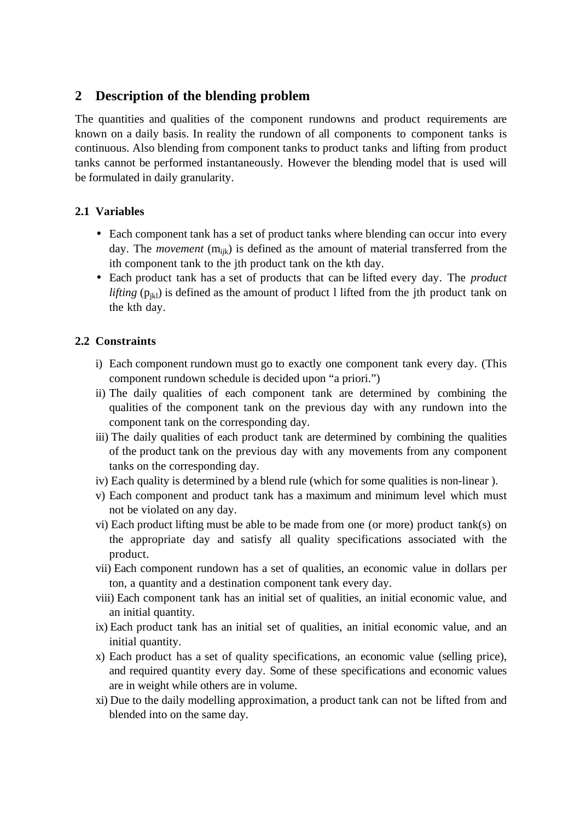## **2 Description of the blending problem**

The quantities and qualities of the component rundowns and product requirements are known on a daily basis. In reality the rundown of all components to component tanks is continuous. Also blending from component tanks to product tanks and lifting from product tanks cannot be performed instantaneously. However the blending model that is used will be formulated in daily granularity.

## **2.1 Variables**

- Each component tank has a set of product tanks where blending can occur into every day. The *movement* (m<sub>ijk</sub>) is defined as the amount of material transferred from the ith component tank to the jth product tank on the kth day.
- Each product tank has a set of products that can be lifted every day. The *product lifting*  $(p_{ik})$  is defined as the amount of product 1 lifted from the jth product tank on the kth day.

## **2.2 Constraints**

- i) Each component rundown must go to exactly one component tank every day. (This component rundown schedule is decided upon "a priori.")
- ii) The daily qualities of each component tank are determined by combining the qualities of the component tank on the previous day with any rundown into the component tank on the corresponding day.
- iii) The daily qualities of each product tank are determined by combining the qualities of the product tank on the previous day with any movements from any component tanks on the corresponding day.
- iv) Each quality is determined by a blend rule (which for some qualities is non-linear ).
- v) Each component and product tank has a maximum and minimum level which must not be violated on any day.
- vi) Each product lifting must be able to be made from one (or more) product tank(s) on the appropriate day and satisfy all quality specifications associated with the product.
- vii) Each component rundown has a set of qualities, an economic value in dollars per ton, a quantity and a destination component tank every day.
- viii) Each component tank has an initial set of qualities, an initial economic value, and an initial quantity.
- ix) Each product tank has an initial set of qualities, an initial economic value, and an initial quantity.
- x) Each product has a set of quality specifications, an economic value (selling price), and required quantity every day. Some of these specifications and economic values are in weight while others are in volume.
- xi) Due to the daily modelling approximation, a product tank can not be lifted from and blended into on the same day.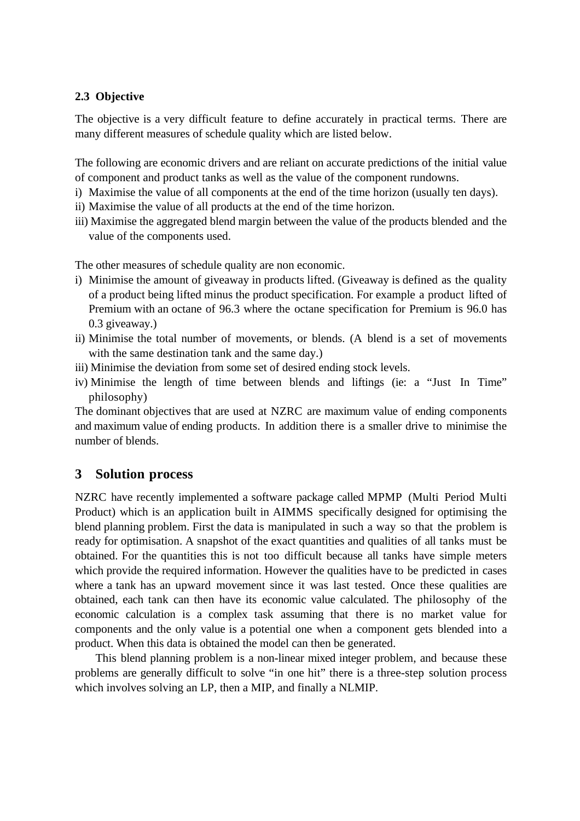## **2.3 Objective**

The objective is a very difficult feature to define accurately in practical terms. There are many different measures of schedule quality which are listed below.

The following are economic drivers and are reliant on accurate predictions of the initial value of component and product tanks as well as the value of the component rundowns.

- i) Maximise the value of all components at the end of the time horizon (usually ten days).
- ii) Maximise the value of all products at the end of the time horizon.
- iii) Maximise the aggregated blend margin between the value of the products blended and the value of the components used.

The other measures of schedule quality are non economic.

- i) Minimise the amount of giveaway in products lifted. (Giveaway is defined as the quality of a product being lifted minus the product specification. For example a product lifted of Premium with an octane of 96.3 where the octane specification for Premium is 96.0 has 0.3 giveaway.)
- ii) Minimise the total number of movements, or blends. (A blend is a set of movements with the same destination tank and the same day.)
- iii) Minimise the deviation from some set of desired ending stock levels.
- iv) Minimise the length of time between blends and liftings (ie: a "Just In Time" philosophy)

The dominant objectives that are used at NZRC are maximum value of ending components and maximum value of ending products. In addition there is a smaller drive to minimise the number of blends.

## **3 Solution process**

NZRC have recently implemented a software package called MPMP (Multi Period Multi Product) which is an application built in AIMMS specifically designed for optimising the blend planning problem. First the data is manipulated in such a way so that the problem is ready for optimisation. A snapshot of the exact quantities and qualities of all tanks must be obtained. For the quantities this is not too difficult because all tanks have simple meters which provide the required information. However the qualities have to be predicted in cases where a tank has an upward movement since it was last tested. Once these qualities are obtained, each tank can then have its economic value calculated. The philosophy of the economic calculation is a complex task assuming that there is no market value for components and the only value is a potential one when a component gets blended into a product. When this data is obtained the model can then be generated.

This blend planning problem is a non-linear mixed integer problem, and because these problems are generally difficult to solve "in one hit" there is a three-step solution process which involves solving an LP, then a MIP, and finally a NLMIP.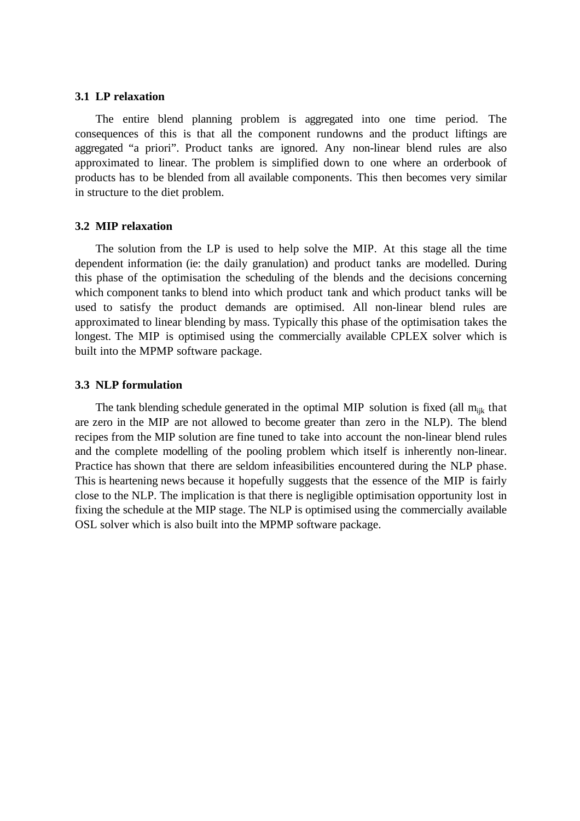#### **3.1 LP relaxation**

The entire blend planning problem is aggregated into one time period. The consequences of this is that all the component rundowns and the product liftings are aggregated "a priori". Product tanks are ignored. Any non-linear blend rules are also approximated to linear. The problem is simplified down to one where an orderbook of products has to be blended from all available components. This then becomes very similar in structure to the diet problem.

#### **3.2 MIP relaxation**

The solution from the LP is used to help solve the MIP. At this stage all the time dependent information (ie: the daily granulation) and product tanks are modelled. During this phase of the optimisation the scheduling of the blends and the decisions concerning which component tanks to blend into which product tank and which product tanks will be used to satisfy the product demands are optimised. All non-linear blend rules are approximated to linear blending by mass. Typically this phase of the optimisation takes the longest. The MIP is optimised using the commercially available CPLEX solver which is built into the MPMP software package.

#### **3.3 NLP formulation**

The tank blending schedule generated in the optimal MIP solution is fixed (all  $m_{ijk}$  that are zero in the MIP are not allowed to become greater than zero in the NLP). The blend recipes from the MIP solution are fine tuned to take into account the non-linear blend rules and the complete modelling of the pooling problem which itself is inherently non-linear. Practice has shown that there are seldom infeasibilities encountered during the NLP phase. This is heartening news because it hopefully suggests that the essence of the MIP is fairly close to the NLP. The implication is that there is negligible optimisation opportunity lost in fixing the schedule at the MIP stage. The NLP is optimised using the commercially available OSL solver which is also built into the MPMP software package.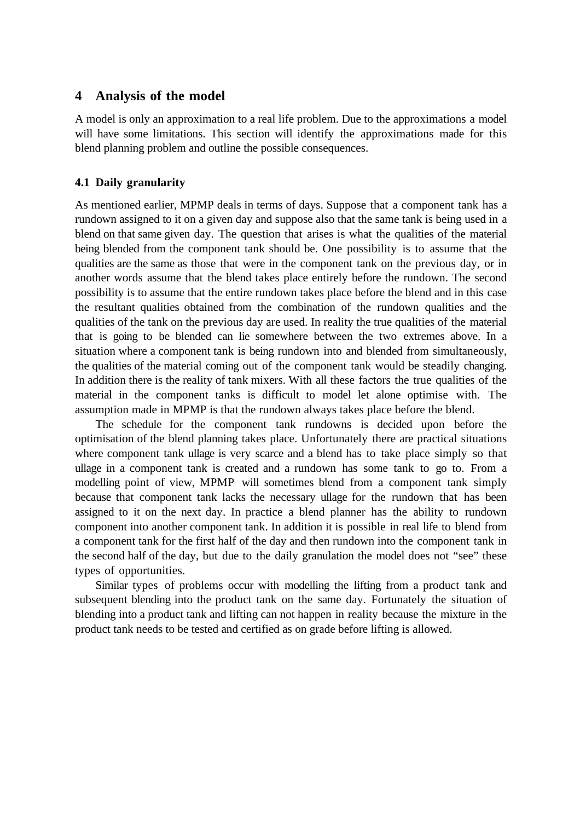## **4 Analysis of the model**

A model is only an approximation to a real life problem. Due to the approximations a model will have some limitations. This section will identify the approximations made for this blend planning problem and outline the possible consequences.

### **4.1 Daily granularity**

As mentioned earlier, MPMP deals in terms of days. Suppose that a component tank has a rundown assigned to it on a given day and suppose also that the same tank is being used in a blend on that same given day. The question that arises is what the qualities of the material being blended from the component tank should be. One possibility is to assume that the qualities are the same as those that were in the component tank on the previous day, or in another words assume that the blend takes place entirely before the rundown. The second possibility is to assume that the entire rundown takes place before the blend and in this case the resultant qualities obtained from the combination of the rundown qualities and the qualities of the tank on the previous day are used. In reality the true qualities of the material that is going to be blended can lie somewhere between the two extremes above. In a situation where a component tank is being rundown into and blended from simultaneously, the qualities of the material coming out of the component tank would be steadily changing. In addition there is the reality of tank mixers. With all these factors the true qualities of the material in the component tanks is difficult to model let alone optimise with. The assumption made in MPMP is that the rundown always takes place before the blend.

The schedule for the component tank rundowns is decided upon before the optimisation of the blend planning takes place. Unfortunately there are practical situations where component tank ullage is very scarce and a blend has to take place simply so that ullage in a component tank is created and a rundown has some tank to go to. From a modelling point of view, MPMP will sometimes blend from a component tank simply because that component tank lacks the necessary ullage for the rundown that has been assigned to it on the next day. In practice a blend planner has the ability to rundown component into another component tank. In addition it is possible in real life to blend from a component tank for the first half of the day and then rundown into the component tank in the second half of the day, but due to the daily granulation the model does not "see" these types of opportunities.

Similar types of problems occur with modelling the lifting from a product tank and subsequent blending into the product tank on the same day. Fortunately the situation of blending into a product tank and lifting can not happen in reality because the mixture in the product tank needs to be tested and certified as on grade before lifting is allowed.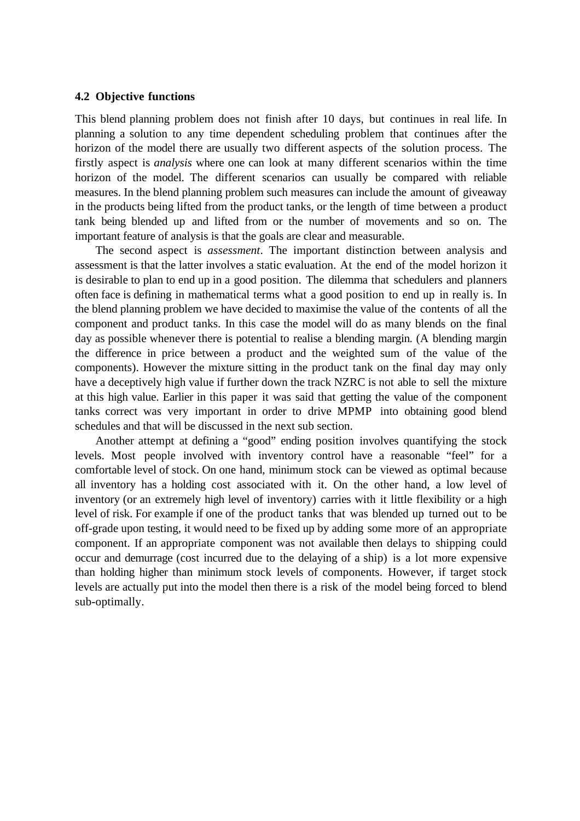#### **4.2 Objective functions**

This blend planning problem does not finish after 10 days, but continues in real life. In planning a solution to any time dependent scheduling problem that continues after the horizon of the model there are usually two different aspects of the solution process. The firstly aspect is *analysis* where one can look at many different scenarios within the time horizon of the model. The different scenarios can usually be compared with reliable measures. In the blend planning problem such measures can include the amount of giveaway in the products being lifted from the product tanks, or the length of time between a product tank being blended up and lifted from or the number of movements and so on. The important feature of analysis is that the goals are clear and measurable.

The second aspect is *assessment*. The important distinction between analysis and assessment is that the latter involves a static evaluation. At the end of the model horizon it is desirable to plan to end up in a good position. The dilemma that schedulers and planners often face is defining in mathematical terms what a good position to end up in really is. In the blend planning problem we have decided to maximise the value of the contents of all the component and product tanks. In this case the model will do as many blends on the final day as possible whenever there is potential to realise a blending margin. (A blending margin the difference in price between a product and the weighted sum of the value of the components). However the mixture sitting in the product tank on the final day may only have a deceptively high value if further down the track NZRC is not able to sell the mixture at this high value. Earlier in this paper it was said that getting the value of the component tanks correct was very important in order to drive MPMP into obtaining good blend schedules and that will be discussed in the next sub section.

Another attempt at defining a "good" ending position involves quantifying the stock levels. Most people involved with inventory control have a reasonable "feel" for a comfortable level of stock. On one hand, minimum stock can be viewed as optimal because all inventory has a holding cost associated with it. On the other hand, a low level of inventory (or an extremely high level of inventory) carries with it little flexibility or a high level of risk. For example if one of the product tanks that was blended up turned out to be off-grade upon testing, it would need to be fixed up by adding some more of an appropriate component. If an appropriate component was not available then delays to shipping could occur and demurrage (cost incurred due to the delaying of a ship) is a lot more expensive than holding higher than minimum stock levels of components. However, if target stock levels are actually put into the model then there is a risk of the model being forced to blend sub-optimally.